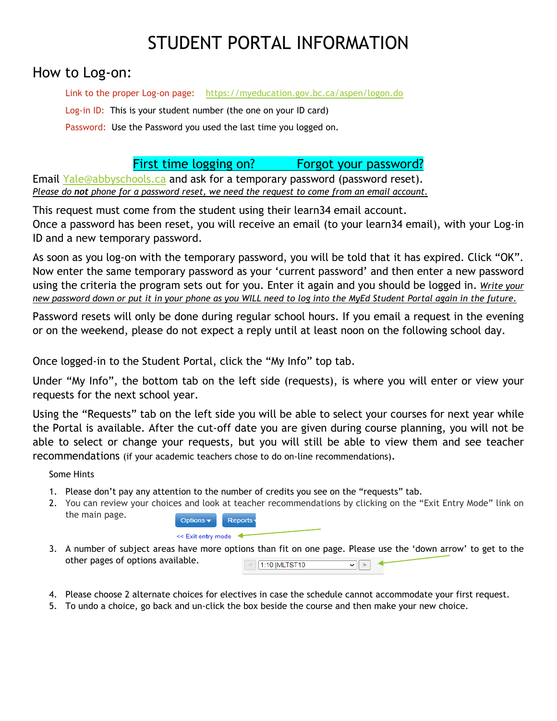## STUDENT PORTAL INFORMATION

## How to Log-on:

Link to the proper Log-on page: <https://myeducation.gov.bc.ca/aspen/logon.do> Log-in ID: This is your student number (the one on your ID card) Password: Use the Password you used the last time you logged on.

First time logging on? Forgot your password?

Email [Yale@abbyschools.ca](mailto:Yale@abbyschools.ca) and ask for a temporary password (password reset). *Please do not phone for a password reset, we need the request to come from an email account.*

This request must come from the student using their learn34 email account.

Once a password has been reset, you will receive an email (to your learn34 email), with your Log-in ID and a new temporary password.

As soon as you log-on with the temporary password, you will be told that it has expired. Click "OK". Now enter the same temporary password as your 'current password' and then enter a new password using the criteria the program sets out for you. Enter it again and you should be logged in. *Write your new password down or put it in your phone as you WILL need to log into the MyEd Student Portal again in the future.*

Password resets will only be done during regular school hours. If you email a request in the evening or on the weekend, please do not expect a reply until at least noon on the following school day.

Once logged-in to the Student Portal, click the "My Info" top tab.

Under "My Info", the bottom tab on the left side (requests), is where you will enter or view your requests for the next school year.

Using the "Requests" tab on the left side you will be able to select your courses for next year while the Portal is available. After the cut-off date you are given during course planning, you will not be able to select or change your requests, but you will still be able to view them and see teacher recommendations (if your academic teachers chose to do on-line recommendations).

Some Hints

- 1. Please don't pay any attention to the number of credits you see on the "requests" tab.
- 2. You can review your choices and look at teacher recommendations by clicking on the "Exit Entry Mode" link on the main page. Options - Bonorts

| $\cup \nu$ uvn $\cup$ $\vdash$ | <b>INGPORTS</b> |  |
|--------------------------------|-----------------|--|
| << Exit entry mode             |                 |  |

- 3. A number of subject areas have more options than fit on one page. Please use the 'down arrow' to get to the other pages of options available.  $\leq$  1:10 |MLTST10 ⊽∣∑∣ ≮
- 4. Please choose 2 alternate choices for electives in case the schedule cannot accommodate your first request.
- 5. To undo a choice, go back and un-click the box beside the course and then make your new choice.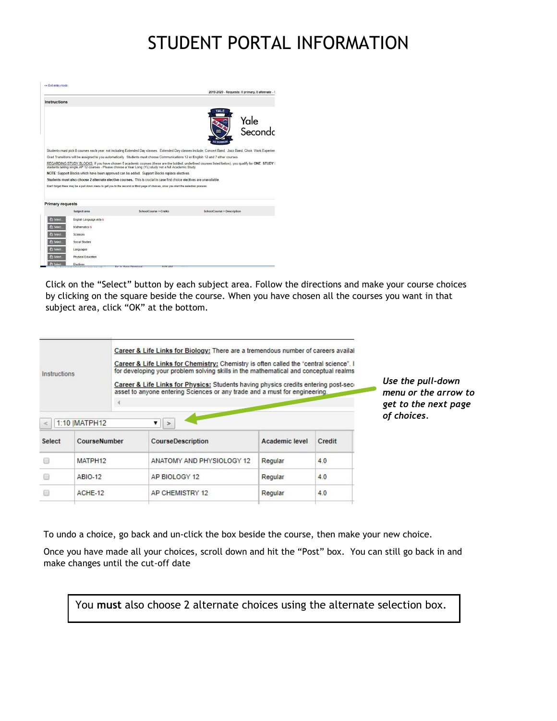## STUDENT PORTAL INFORMATION

|                                                                                                                                   |                           |                                                                                                                                                                                                                                                              |                            | 2019-2020 - Requests: 0 primary, 0 alternate - 5 |
|-----------------------------------------------------------------------------------------------------------------------------------|---------------------------|--------------------------------------------------------------------------------------------------------------------------------------------------------------------------------------------------------------------------------------------------------------|----------------------------|--------------------------------------------------|
| Instructions                                                                                                                      |                           |                                                                                                                                                                                                                                                              |                            |                                                  |
|                                                                                                                                   |                           |                                                                                                                                                                                                                                                              | YALE<br><b>AD SUMMUM</b>   | Yale<br>Secondc                                  |
|                                                                                                                                   |                           | Students must pick 8 courses each year, not including Extended Day classes. Extended Day classes include: Concert Band, Jazz Band, Choir, Work Experien                                                                                                      |                            |                                                  |
| Grad Transitions will be assigned to you automatically. Students must choose Communications 12 or English 12 and 7 other courses. |                           |                                                                                                                                                                                                                                                              |                            |                                                  |
|                                                                                                                                   |                           | REGARDING STUDY BLOCKS; If you have chosen 5 academic courses (these are the bolded, underlined courses listed below), you qualify for ONE STUDY I<br>students taking single AP 12 courses - Please choose a Year Long (YL) study not a full Academic Study. |                            |                                                  |
|                                                                                                                                   |                           | NOTE: Support Blocks which have been approved can be added. Support Blocks replace electives.                                                                                                                                                                |                            |                                                  |
|                                                                                                                                   |                           |                                                                                                                                                                                                                                                              |                            |                                                  |
|                                                                                                                                   |                           | Students must also choose 2 alternate elective courses. This is crucial in case first choice electives are unavailable.                                                                                                                                      |                            |                                                  |
|                                                                                                                                   |                           | Don't forget there may be a pull down menu to get you to the second or third page of choices, once you start the selection process.                                                                                                                          |                            |                                                  |
| <b>Primary requests</b>                                                                                                           |                           |                                                                                                                                                                                                                                                              |                            |                                                  |
|                                                                                                                                   | Subject area              | SchoolCourse > CrsNo                                                                                                                                                                                                                                         | SchoolCourse > Description |                                                  |
| <b>Select</b>                                                                                                                     | English Language Arts ®   |                                                                                                                                                                                                                                                              |                            |                                                  |
| <b>Select</b>                                                                                                                     | Mathematics @             |                                                                                                                                                                                                                                                              |                            |                                                  |
| Select.                                                                                                                           | Sciences                  |                                                                                                                                                                                                                                                              |                            |                                                  |
| <b>ी Select</b>                                                                                                                   | <b>Social Studies</b>     |                                                                                                                                                                                                                                                              |                            |                                                  |
| <b>Select</b>                                                                                                                     | Languages                 |                                                                                                                                                                                                                                                              |                            |                                                  |
| Select.                                                                                                                           | <b>Physical Education</b> |                                                                                                                                                                                                                                                              |                            |                                                  |

Click on the "Select" button by each subject area. Follow the directions and make your course choices by clicking on the square beside the course. When you have chosen all the courses you want in that subject area, click "OK" at the bottom.

| $\approx$ | Career & Life Links for Biology: There are a tremendous number of careers availal<br>Career & Life Links for Chemistry: Chemistry is often called the "central science". I<br>for developing your problem solving skills in the mathematical and conceptual realms<br>Instructions<br>Career & Life Links for Physics: Students having physics credits entering post-sec-<br>asset to anyone entering Sciences or any trade and a must for engineering.<br>1:10 MATPH12<br>▼ |  |                                    |                       |        | Use the pull-down<br>menu or the arrow to<br>get to the next page<br>of choices. |
|-----------|------------------------------------------------------------------------------------------------------------------------------------------------------------------------------------------------------------------------------------------------------------------------------------------------------------------------------------------------------------------------------------------------------------------------------------------------------------------------------|--|------------------------------------|-----------------------|--------|----------------------------------------------------------------------------------|
| Select    | CourseNumber                                                                                                                                                                                                                                                                                                                                                                                                                                                                 |  | $\geq$<br><b>CourseDescription</b> | <b>Academic level</b> | Credit |                                                                                  |
| F         | MATPH12                                                                                                                                                                                                                                                                                                                                                                                                                                                                      |  | ANATOMY AND PHYSIOLOGY 12          | Regular               | 4.0    |                                                                                  |
|           | <b>ABIO-12</b>                                                                                                                                                                                                                                                                                                                                                                                                                                                               |  | AP BIOLOGY 12                      | Regular               | 4.0    |                                                                                  |
|           | ACHE-12                                                                                                                                                                                                                                                                                                                                                                                                                                                                      |  | AP CHEMISTRY 12                    | Regular               | 4.0    |                                                                                  |

To undo a choice, go back and un-click the box beside the course, then make your new choice.

Once you have made all your choices, scroll down and hit the "Post" box. You can still go back in and make changes until the cut-off date

You **must** also choose 2 alternate choices using the alternate selection box.